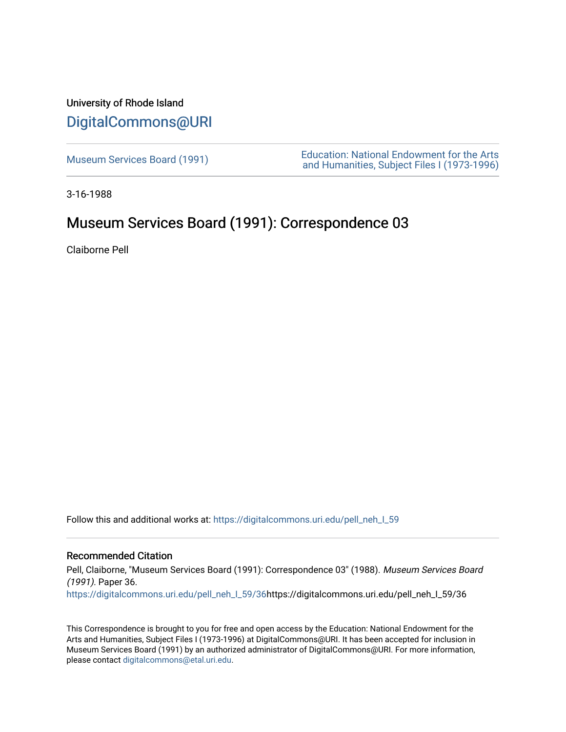## University of Rhode Island [DigitalCommons@URI](https://digitalcommons.uri.edu/)

Museum Services Board (1991)<br>
Museum Services Board (1991)<br>
And Humanities Subject Files (1973,1996) [and Humanities, Subject Files I \(1973-1996\)](https://digitalcommons.uri.edu/pell_neh_I) 

3-16-1988

# Museum Services Board (1991): Correspondence 03

Claiborne Pell

Follow this and additional works at: https://digitalcommons.uri.edu/pell\_neh\_I\_59

### Recommended Citation

Pell, Claiborne, "Museum Services Board (1991): Correspondence 03" (1988). Museum Services Board (1991). Paper 36.

[https://digitalcommons.uri.edu/pell\\_neh\\_I\\_59/36h](https://digitalcommons.uri.edu/pell_neh_I_59/36?utm_source=digitalcommons.uri.edu%2Fpell_neh_I_59%2F36&utm_medium=PDF&utm_campaign=PDFCoverPages)ttps://digitalcommons.uri.edu/pell\_neh\_I\_59/36

This Correspondence is brought to you for free and open access by the Education: National Endowment for the Arts and Humanities, Subject Files I (1973-1996) at DigitalCommons@URI. It has been accepted for inclusion in Museum Services Board (1991) by an authorized administrator of DigitalCommons@URI. For more information, please contact [digitalcommons@etal.uri.edu.](mailto:digitalcommons@etal.uri.edu)